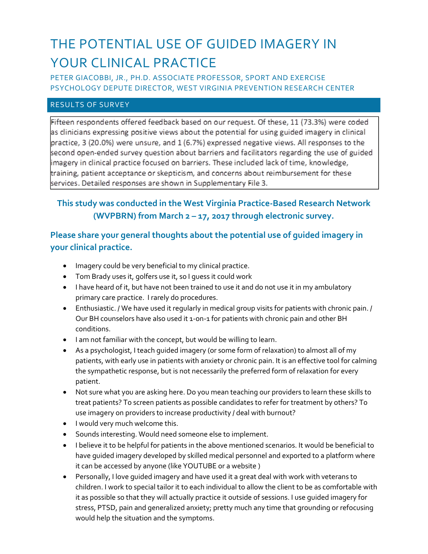# THE POTENTIAL USE OF GUIDED IMAGERY IN YOUR CLINICAL PRACTICE

PETER GIACOBBI, JR., PH.D. ASSOCIATE PROFESSOR, SPORT AND EXERCISE PSYCHOLOGY DEPUTE DIRECTOR, WEST VIRGINIA PREVENTION RESEARCH CENTER

#### RESULTS OF SURVEY

Fifteen respondents offered feedback based on our request. Of these, 11 (73.3%) were coded as clinicians expressing positive views about the potential for using guided imagery in clinical practice, 3 (20.0%) were unsure, and 1 (6.7%) expressed negative views. All responses to the second open-ended survey question about barriers and facilitators regarding the use of guided imagery in clinical practice focused on barriers. These included lack of time, knowledge, training, patient acceptance or skepticism, and concerns about reimbursement for these services. Detailed responses are shown in Supplementary File 3.

## **This study was conducted in the West Virginia Practice-Based Research Network (WVPBRN) from March 2 – 17, 2017 through electronic survey.**

#### **Please share your general thoughts about the potential use of guided imagery in your clinical practice.**

- Imagery could be very beneficial to my clinical practice.
- Tom Brady uses it, golfers use it, so I guess it could work
- I have heard of it, but have not been trained to use it and do not use it in my ambulatory primary care practice. I rarely do procedures.
- Enthusiastic. / We have used it regularly in medical group visits for patients with chronic pain. / Our BH counselors have also used it 1-on-1 for patients with chronic pain and other BH conditions.
- I am not familiar with the concept, but would be willing to learn.
- As a psychologist, I teach guided imagery (or some form of relaxation) to almost all of my patients, with early use in patients with anxiety or chronic pain. It is an effective tool for calming the sympathetic response, but is not necessarily the preferred form of relaxation for every patient.
- Not sure what you are asking here. Do you mean teaching our providers to learn these skills to treat patients? To screen patients as possible candidates to refer for treatment by others? To use imagery on providers to increase productivity / deal with burnout?
- I would very much welcome this.
- Sounds interesting. Would need someone else to implement.
- I believe it to be helpful for patients in the above mentioned scenarios. It would be beneficial to have guided imagery developed by skilled medical personnel and exported to a platform where it can be accessed by anyone (like YOUTUBE or a website )
- Personally, I love guided imagery and have used it a great deal with work with veterans to children. I work to special tailor it to each individual to allow the client to be as comfortable with it as possible so that they will actually practice it outside of sessions. I use guided imagery for stress, PTSD, pain and generalized anxiety; pretty much any time that grounding or refocusing would help the situation and the symptoms.